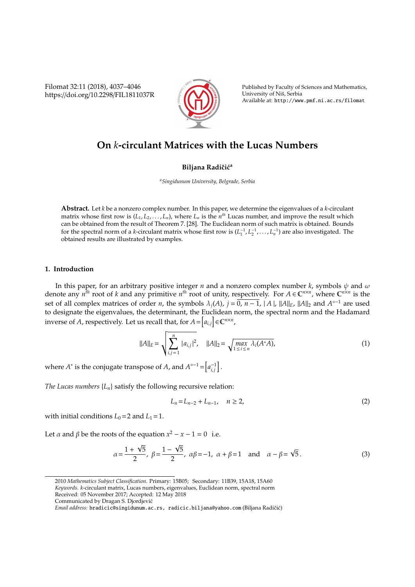Filomat 32:11 (2018), 4037–4046 https://doi.org/10.2298/FIL1811037R



Published by Faculty of Sciences and Mathematics, University of Nis, Serbia ˇ Available at: http://www.pmf.ni.ac.rs/filomat

# **On** *k***-circulant Matrices with the Lucas Numbers**

## **Biljana Radičić<sup>a</sup>**

*<sup>a</sup>Singidunum University, Belgrade, Serbia*

**Abstract.** Let *k* be a nonzero complex number. In this paper, we determine the eigenvalues of a *k*-circulant matrix whose first row is  $(L_1, L_2, \ldots, L_n)$ , where  $L_n$  is the  $n^{th}$  Lucas number, and improve the result which can be obtained from the result of Theorem 7. [28]. The Euclidean norm of such matrix is obtained. Bounds for the spectral norm of a *k*-circulant matrix whose first row is  $(L_1^{-1}, L_2^{-1}, \ldots, L_n^{-1})$  are also investigated. The obtained results are illustrated by examples.

#### **1. Introduction**

In this paper, for an arbitrary positive integer *n* and a nonzero complex number *k*, symbols  $\psi$  and  $\omega$ denote any  $n^{\hat{t}h}$  root of *k* and any primitive  $n^{\hat{t}h}$  root of unity, respectively. For  $A \in \mathbb{C}^{n \times n}$ , where  $\mathbb{C}^{n \times n}$  is the set of all complex matrices of order *n*, the symbols  $\lambda_j(A)$ ,  $j = \overline{0, n-1}$ ,  $|A|$ ,  $||A||_E$ ,  $||A||_2$  and  $A^{\circ -1}$  are used to designate the eigenvalues, the determinant, the Euclidean norm, the spectral norm and the Hadamard inverse of *A*, respectively. Let us recall that, for  $A = [a_{i,j}] \in \mathbb{C}^{n \times n}$ ,

$$
||A||_E = \sqrt{\sum_{i,j=1}^n |a_{i,j}|^2}, \quad ||A||_2 = \sqrt{\max_{1 \le i \le n} \lambda_i(A^*A)},
$$
\n(1)

where  $A^*$  is the conjugate transpose of *A*, and  $A^{\circ -1} = \left[a_{i,j}^{-1}\right]$ .

*The Lucas numbers*  ${L_n}$  satisfy the following recursive relation:

$$
L_n = L_{n-2} + L_{n-1}, \quad n \ge 2,
$$
\n(2)

with initial conditions  $L_0 = 2$  and  $L_1 = 1$ .

Let  $\alpha$  and  $\beta$  be the roots of the equation  $x^2 - x - 1 = 0$  i.e.

$$
\alpha = \frac{1 + \sqrt{5}}{2}, \ \beta = \frac{1 - \sqrt{5}}{2}, \ \alpha\beta = -1, \ \alpha + \beta = 1 \text{ and } \alpha - \beta = \sqrt{5}.
$$
 (3)

<sup>2010</sup> *Mathematics Subject Classification*. Primary: 15B05; Secondary: 11B39, 15A18, 15A60 *Keywords*. *k*-circulant matrix, Lucas numbers, eigenvalues, Euclidean norm, spectral norm Received: 05 November 2017; Accepted: 12 May 2018

Communicated by Dragan S. Djordjevic´

*Email address:* bradicic@singidunum.ac.rs, radicic.biljana@yahoo.com (Biljana Radičić)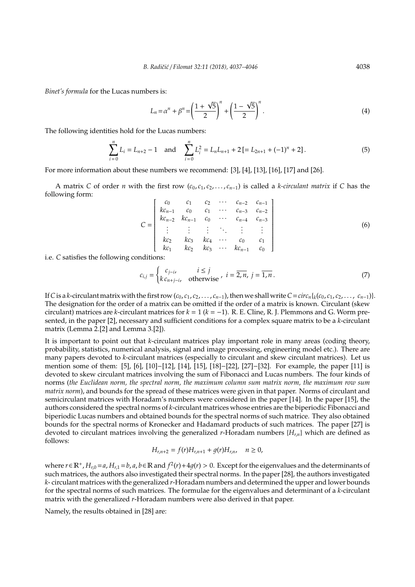*Binet's formula* for the Lucas numbers is:

$$
L_n = \alpha^n + \beta^n = \left(\frac{1 + \sqrt{5}}{2}\right)^n + \left(\frac{1 - \sqrt{5}}{2}\right)^n.
$$
 (4)

The following identities hold for the Lucas numbers:

$$
\sum_{i=0}^{n} L_i = L_{n+2} - 1 \quad \text{and} \quad \sum_{i=0}^{n} L_i^2 = L_n L_{n+1} + 2 \left[ L_{2n+1} + (-1)^n + 2 \right]. \tag{5}
$$

For more information about these numbers we recommend: [3], [4], [13], [16], [17] and [26].

A matrix *C* of order *n* with the first row (*c*0, *c*1, *c*2, . . . , *cn*−1) is called a *k-circulant matrix* if *C* has the following form: *c*<sup>0</sup> *c*<sup>1</sup> *c*<sup>2</sup> · · · *cn*−<sup>2</sup> *cn*−<sup>1</sup>

$$
C = \begin{bmatrix} c_0 & c_1 & c_2 & \cdots & c_{n-2} & c_{n-1} \\ kc_{n-1} & c_0 & c_1 & \cdots & c_{n-3} & c_{n-2} \\ kc_{n-2} & kc_{n-1} & c_0 & \cdots & c_{n-4} & c_{n-3} \\ \vdots & \vdots & \vdots & \ddots & \vdots & \vdots \\ kc_2 & kc_3 & kc_4 & \cdots & c_0 & c_1 \\ kc_1 & kc_2 & kc_3 & \cdots & kc_{n-1} & c_0 \end{bmatrix}
$$
 (6)

i.e. *C* satisfies the following conditions:

$$
c_{i,j} = \begin{cases} c_{j-i}, & i \le j \\ k c_{n+j-i}, & \text{otherwise} \end{cases}, i = \overline{2, n}, j = \overline{1, n}. \tag{7}
$$

If C is a k-circulant matrix with the first row  $(c_0, c_1, c_2, \ldots, c_{n-1})$ , then we shall write  $C = circ_n\{k(c_0, c_1, c_2, \ldots, c_{n-1})\}$ . The designation for the order of a matrix can be omitted if the order of a matrix is known. Circulant (skew circulant) matrices are *k*-circulant matrices for  $k = 1$  ( $k = -1$ ). R. E. Cline, R. J. Plemmons and G. Worm presented, in the paper [2], necessary and sufficient conditions for a complex square matrix to be a *k*-circulant matrix (Lemma 2.[2] and Lemma 3.[2]).

It is important to point out that *k*-circulant matrices play important role in many areas (coding theory, probability, statistics, numerical analysis, signal and image processing, engineering model etc.). There are many papers devoted to *k*-circulant matrices (especially to circulant and skew circulant matrices). Let us mention some of them: [5], [6], [10]−[12], [14], [15], [18]−[22], [27]−[32]. For example, the paper [11] is devoted to skew circulant matrices involving the sum of Fibonacci and Lucas numbers. The four kinds of norms (*the Euclidean norm, the spectral norm, the maximum column sum matrix norm, the maximum row sum matrix norm*), and bounds for the spread of these matrices were given in that paper. Norms of circulant and semicirculant matrices with Horadam's numbers were considered in the paper [14]. In the paper [15], the authors considered the spectral norms of *k*-circulant matrices whose entries are the biperiodic Fibonacci and biperiodic Lucas numbers and obtained bounds for the spectral norms of such matrice. They also obtained bounds for the spectral norms of Kronecker and Hadamard products of such matrices. The paper [27] is devoted to circulant matrices involving the generalized *r*-Horadam numbers {*Hr*,*n*} which are defined as follows:

$$
H_{r,n+2} = f(r)H_{r,n+1} + g(r)H_{r,n}, \quad n \ge 0,
$$

where *r* ∈  $\mathbb{R}^+$ , *H*<sub>*r*,0</sub> = *a*, *H*<sub>*r*,1</sub> = *b*, *a*, *b* ∈  $\mathbb{R}$  and  $f^2(r) + 4g(r) > 0$ . Except for the eigenvalues and the determinants of such matrices, the authors also investigated their spectral norms. In the paper [28], the authors investigated *k*- circulant matrices with the generalized *r*-Horadam numbers and determined the upper and lower bounds for the spectral norms of such matrices. The formulae for the eigenvalues and determinant of a *k*-circulant matrix with the generalized *r*-Horadam numbers were also derived in that paper.

Namely, the results obtained in [28] are: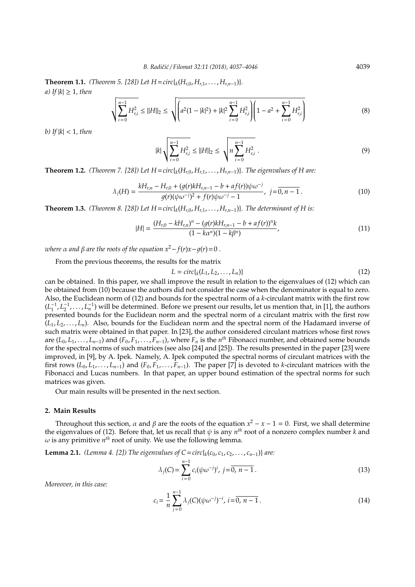**Theorem 1.1.** *(Theorem 5. [28]) Let*  $H = circ{K(H_{r0}, H_{r1}, \ldots, H_{rn-1})}$ *. a*) If  $|k| \geq 1$ *, then* 

$$
\sqrt{\sum_{i=0}^{n-1} H_{r,i}^2} \le ||H||_2 \le \sqrt{\left(a^2(1-|k|^2) + |k|^2 \sum_{i=0}^{n-1} H_{r,i}^2\right)} \left(1 - a^2 + \sum_{i=0}^{n-1} H_{r,i}^2\right)
$$
(8)

*b) If* |*k*| < 1*, then*

$$
|k| \sqrt{\sum_{i=0}^{n-1} H_{r,i}^2} \le ||H||_2 \le \sqrt{n \sum_{i=0}^{n-1} H_{r,i}^2} \ . \tag{9}
$$

**Theorem 1.2.** *(Theorem 7. [28]) Let*  $H = circ{^t{k(H_{r,0}, H_{r,1}, \ldots, H_{r,n-1})}}$ *<i>. The eigenvalues of H are:* 

$$
\lambda_j(H) = \frac{kH_{r,n} - H_{r,0} + (g(r)kH_{r,n-1} - b + af(r))\psi\omega^{-j}}{g(r)(\psi\omega^{-j})^2 + f(r)\psi\omega^{-j} - 1}, \ j = \overline{0, n-1}.
$$
\n(10)

**Theorem 1.3.** *(Theorem 8. [28])* Let  $H = circ({}_{k}(H_{r,0}, H_{r,1}, \ldots, H_{r,n-1}))$ *. The determinant of H is:* 

$$
|H| = \frac{(H_{r,0} - kH_{r,n})^n - (g(r)kH_{r,n-1} - b + af(r))^n k}{(1 - k\alpha^n)(1 - k\beta^n)},
$$
\n(11)

*where*  $\alpha$  *and*  $\beta$  *are the roots of the equation*  $x^2 - f(r)x - q(r) = 0$ .

From the previous theorems, the results for the matrix

$$
L = circ\{{}_{k}(L_{1}, L_{2}, \ldots, L_{n})\}
$$
\n
$$
(12)
$$

can be obtained. In this paper, we shall improve the result in relation to the eigenvalues of (12) which can be obtained from (10) because the authors did not consider the case when the denominator is equal to zero. Also, the Euclidean norm of (12) and bounds for the spectral norm of a *k*-circulant matrix with the first row  $(L_1^{-1}, L_2^{-1}, \ldots, L_n^{-1})$  will be determined. Before we present our results, let us mention that, in [1], the authors presented bounds for the Euclidean norm and the spectral norm of a circulant matrix with the first row  $(L_1, L_2, \ldots, L_n)$ . Also, bounds for the Euclidean norm and the spectral norm of the Hadamard inverse of such matrix were obtained in that paper. In [23], the author considered circulant matrices whose first rows are  $(L_0, L_1, \ldots, L_{n-1})$  and  $(F_0, F_1, \ldots, F_{n-1})$ , where  $F_n$  is the  $n^{th}$  Fibonacci number, and obtained some bounds for the spectral norms of such matrices (see also [24] and [25]). The results presented in the paper [23] were improved, in [9], by A. Ipek. Namely, A. Ipek computed the spectral norms of circulant matrices with the first rows  $(L_0, L_1, \ldots, L_{n-1})$  and  $(F_0, F_1, \ldots, F_{n-1})$ . The paper [7] is devoted to *k*-circulant matrices with the Fibonacci and Lucas numbers. In that paper, an upper bound estimation of the spectral norms for such matrices was given.

Our main results will be presented in the next section.

#### **2. Main Results**

Throughout this section,  $\alpha$  and  $\beta$  are the roots of the equation  $x^2 - x - 1 = 0$ . First, we shall determine the eigenvalues of (12). Before that, let us recall that  $\psi$  is any  $n^{th}$  root of a nonzero complex number  $k$  and  $\omega$  is any primitive  $n^{th}$  root of unity. We use the following lemma.

**Lemma 2.1.** *(Lemma 4. [2]) The eigenvalues of*  $C = circ{k(c_0, c_1, c_2, ..., c_{n-1})}$  *are:* 

$$
\lambda_j(C) = \sum_{i=0}^{n-1} c_i (\psi \omega^{-j})^i, \ j = \overline{0, n-1} \,. \tag{13}
$$

*Moreover, in this case:*

$$
c_i = \frac{1}{n} \sum_{j=0}^{n-1} \lambda_j(C) (\psi \omega^{-j})^{-i}, \ i = \overline{0, n-1}.
$$
 (14)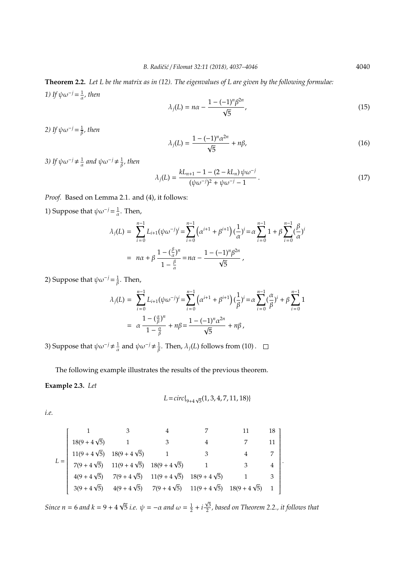**Theorem 2.2.** *Let L be the matrix as in (12). The eigenvalues of L are given by the following formulae: 1)* If  $\psi \omega^{-j} = \frac{1}{\alpha}$ , then

$$
\lambda_j(L) = n\alpha - \frac{1 - (-1)^n \beta^{2n}}{\sqrt{5}},
$$
\n(15)

2) If  $\psi \omega^{-j} = \frac{1}{\beta}$ , then

$$
\lambda_j(L) = \frac{1 - (-1)^n \alpha^{2n}}{\sqrt{5}} + n\beta,\tag{16}
$$

3) If  $\psi \omega^{-j} \neq \frac{1}{\alpha}$  and  $\psi \omega^{-j} \neq \frac{1}{\beta}$ , then

$$
\lambda_j(L) = \frac{kL_{n+1} - 1 - (2 - kL_n)\psi\omega^{-j}}{(\psi\omega^{-j})^2 + \psi\omega^{-j} - 1}.
$$
\n(17)

*Proof.* Based on Lemma 2.1. and (4), it follows:

1) Suppose that  $\psi \omega^{-j} = \frac{1}{\alpha}$ . Then,

$$
\lambda_j(L) = \sum_{i=0}^{n-1} L_{i+1}(\psi \omega^{-j})^i = \sum_{i=0}^{n-1} (\alpha^{i+1} + \beta^{i+1}) (\frac{1}{\alpha})^i = \alpha \sum_{i=0}^{n-1} 1 + \beta \sum_{i=0}^{n-1} (\frac{\beta}{\alpha})^i
$$

$$
= n\alpha + \beta \frac{1 - (\frac{\beta}{\alpha})^n}{1 - \frac{\beta}{\alpha}} = n\alpha - \frac{1 - (-1)^n \beta^{2n}}{\sqrt{5}},
$$

2) Suppose that  $\psi \omega^{-j} = \frac{1}{\beta}$ . Then,

$$
\lambda_j(L) = \sum_{i=0}^{n-1} L_{i+1}(\psi \omega^{-j})^i = \sum_{i=0}^{n-1} (\alpha^{i+1} + \beta^{i+1}) (\frac{1}{\beta})^i = \alpha \sum_{i=0}^{n-1} (\frac{\alpha}{\beta})^i + \beta \sum_{i=0}^{n-1} 1
$$
  
=  $\alpha \frac{1 - (\frac{\alpha}{\beta})^n}{1 - \frac{\alpha}{\beta}} + n\beta = \frac{1 - (-1)^n \alpha^{2n}}{\sqrt{5}} + n\beta,$ 

3) Suppose that  $\psi \omega^{-j} \neq \frac{1}{\alpha}$  and  $\psi \omega^{-j} \neq \frac{1}{\beta}$ . Then,  $\lambda_j(L)$  follows from (10).

The following example illustrates the results of the previous theorem.

# **Example 2.3.** *Let*

$$
L = circ\{ {}_{9+4\sqrt{5}}(1,3,4,7,11,18) \}
$$

*i.e.*

$$
L = \begin{bmatrix} 1 & 3 & 4 & 7 & 11 & 18 \\ 18(9+4\sqrt{5}) & 1 & 3 & 4 & 7 & 11 \\ 11(9+4\sqrt{5}) & 18(9+4\sqrt{5}) & 1 & 3 & 4 & 7 \\ 7(9+4\sqrt{5}) & 11(9+4\sqrt{5}) & 18(9+4\sqrt{5}) & 1 & 3 & 4 \\ 4(9+4\sqrt{5}) & 7(9+4\sqrt{5}) & 11(9+4\sqrt{5}) & 18(9+4\sqrt{5}) & 1 & 3 \\ 3(9+4\sqrt{5}) & 4(9+4\sqrt{5}) & 7(9+4\sqrt{5}) & 11(9+4\sqrt{5}) & 18(9+4\sqrt{5}) & 1 \end{bmatrix}.
$$

*Since n* = 6 *and k* = 9 + 4  $\overline{5}$  *i.e.*  $\psi = -\alpha$  and  $\omega = \frac{1}{2} + i$ 3 2 *, based on Theorem 2.2., it follows that*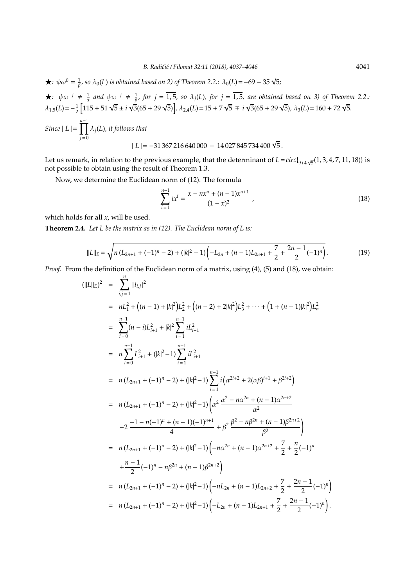$\star$ *:*  $\psi \omega^0 = \frac{1}{\beta}$ *, so*  $\lambda_0(L)$  *is obtained based on 2) of Theorem 2.2.:*  $\lambda_0(L) = -69 - 35 \sqrt{5}$ *;* 

$$
\star: \psi\omega^{-j} \neq \frac{1}{\alpha} \text{ and } \psi\omega^{-j} \neq \frac{1}{\beta}, \text{ for } j = \overline{1,5}, \text{ so } \lambda_j(L), \text{ for } j = \overline{1,5}, \text{ are obtained based on 3) of Theorem 2.2.}
$$
\n
$$
\lambda_{1,5}(L) = -\frac{1}{2} \left[ 115 + 51 \sqrt{5} \pm i \sqrt{3} (65 + 29 \sqrt{5}) \right], \lambda_{2,4}(L) = 15 + 7 \sqrt{5} \mp i \sqrt{3} (65 + 29 \sqrt{5}), \lambda_3(L) = 160 + 72 \sqrt{5}.
$$
\n
$$
\text{Since } |L| = \prod_{j=0}^{n-1} \lambda_j(L), \text{ it follows that}
$$
\n
$$
|L| = -31367 216 640 000 - 14027 845 734 400 \sqrt{5}.
$$

Let us remark, in relation to the previous example, that the determinant of  $L = circ|_{9+4} \sqrt{ }$  $(1, 3, 4, 7, 11, 18)$  is not possible to obtain using the result of Theorem 1.3.

Now, we determine the Euclidean norm of (12). The formula

$$
\sum_{i=1}^{n-1} ix^{i} = \frac{x - nx^{n} + (n-1)x^{n+1}}{(1-x)^{2}} ,
$$
\n(18)

which holds for all *x*, will be used.

**Theorem 2.4.** *Let L be the matrix as in (12). The Euclidean norm of L is:*

$$
||L||_E = \sqrt{n(L_{2n+1} + (-1)^n - 2) + (|k|^2 - 1)\left(-L_{2n} + (n-1)L_{2n+1} + \frac{7}{2} + \frac{2n-1}{2}(-1)^n\right)}.
$$
\n(19)

*Proof.* From the definition of the Euclidean norm of a matrix, using (4), (5) and (18), we obtain:

$$
(||L||_{E})^{2} = \sum_{i,j=1}^{n} |l_{i,j}|^{2}
$$
  
\n
$$
= nL_{1}^{2} + ((n - 1) + |k|^{2})L_{2}^{2} + ((n - 2) + 2|k|^{2})L_{3}^{2} + \cdots + (1 + (n - 1)|k|^{2})L_{n}^{2}
$$
  
\n
$$
= \sum_{i=0}^{n-1} (n - i)L_{i+1}^{2} + |k|^{2} \sum_{i=1}^{n-1} iL_{i+1}^{2}
$$
  
\n
$$
= n \sum_{i=0}^{n-1} L_{i+1}^{2} + (|k|^{2} - 1) \sum_{i=1}^{n-1} iL_{i+1}^{2}
$$
  
\n
$$
= n (L_{2n+1} + (-1)^{n} - 2) + (|k|^{2} - 1) \sum_{i=1}^{n-1} i (\alpha^{2i+2} + 2(\alpha\beta)^{i+1} + \beta^{2i+2})
$$
  
\n
$$
= n (L_{2n+1} + (-1)^{n} - 2) + (|k|^{2} - 1) (\alpha^{2} \frac{\alpha^{2} - n\alpha^{2n} + (n - 1)\alpha^{2n+2}}{\alpha^{2}}
$$
  
\n
$$
-2 \frac{-1 - n(-1)^{n} + (n - 1)(-1)^{n+1}}{4} + \beta^{2} \frac{\beta^{2} - n\beta^{2n} + (n - 1)\beta^{2n+2}}{\beta^{2}})
$$
  
\n
$$
= n (L_{2n+1} + (-1)^{n} - 2) + (|k|^{2} - 1) (-n\alpha^{2n} + (n - 1)\alpha^{2n+2} + \frac{7}{2} + \frac{n}{2}(-1)^{n}
$$
  
\n
$$
+ \frac{n-1}{2}(-1)^{n} - n\beta^{2n} + (n - 1)\beta^{2n+2})
$$
  
\n
$$
= n (L_{2n+1} + (-1)^{n} - 2) + (|k|^{2} - 1) (-nL_{2n} + (n - 1)L_{2n+2} + \frac{7}{2} + \frac{2n - 1}{2}(-1)^{n})
$$
  
\n
$$
= n (L_{2n+1} + (-
$$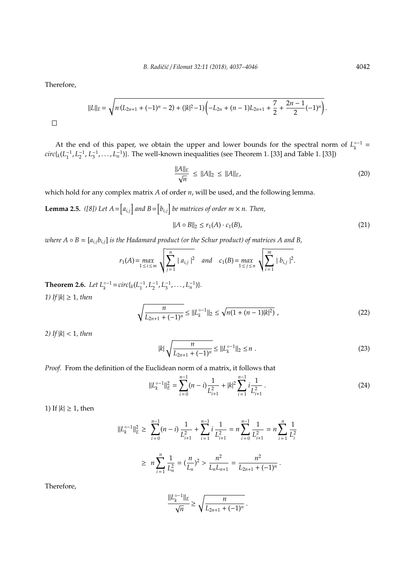Therefore,

 $\Box$ 

$$
||L||_E = \sqrt{n(L_{2n+1} + (-1)^n - 2) + (|k|^2 - 1)\left(-L_{2n} + (n-1)L_{2n+1} + \frac{7}{2} + \frac{2n-1}{2}(-1)^n\right)}
$$

At the end of this paper, we obtain the upper and lower bounds for the spectral norm of  $L_k^{\circ -1}$  =  $circ\{k(L_1^{-1}, L_2^{-1}, L_3^{-1}, \ldots, L_n^{-1})\}$ . The well-known inequalities (see Theorem 1. [33] and Table 1. [33])

$$
\frac{\|A\|_E}{\sqrt{n}} \le \|A\|_2 \le \|A\|_E,\tag{20}
$$

which hold for any complex matrix *A* of order *n*, will be used, and the following lemma.

**Lemma 2.5.** ([8]) Let  $A = [a_{i,j}]$  and  $B = [b_{i,j}]$  be matrices of order  $m \times n$ . Then,

$$
||A \circ B||_2 \le r_1(A) \cdot c_1(B), \tag{21}
$$

*where*  $A \circ B = [a_{i,j}b_{i,j}]$  *is the Hadamard product (or the Schur product) of matrices* A and B,

$$
r_1(A) = \max_{1 \le i \le m} \sqrt{\sum_{j=1}^n |a_{i,j}|^2} \quad \text{and} \quad c_1(B) = \max_{1 \le j \le n} \sqrt{\sum_{i=1}^m |b_{i,j}|^2}.
$$

**Theorem 2.6.** *Let*  $L_k^{\circ -1} = circ\{k(L_1^{-1}, L_2^{-1}, L_3^{-1}, \ldots, L_n^{-1})\}$ *. 1)* If  $|k| \geq 1$ *, then* 

$$
\sqrt{\frac{n}{L_{2n+1} + (-1)^n}} \le ||L_k^{\circ -1}||_2 \le \sqrt{n(1 + (n-1)|k|^2)},
$$
\n(22)

*2) If* |*k*| < 1*, then*

$$
|k| \sqrt{\frac{n}{L_{2n+1} + (-1)^n}} \le ||L_k^{\circ -1}||_2 \le n \tag{23}
$$

*Proof.* From the definition of the Euclidean norm of a matrix, it follows that

$$
||L_k^{\circ-1}||_E^2 = \sum_{i=0}^{n-1} (n-i) \frac{1}{L_{i+1}^2} + |k|^2 \sum_{i=1}^{n-1} i \frac{1}{L_{i+1}^2}.
$$
 (24)

1) If  $|k| \geq 1$ , then

$$
||L_k^{\circ-1}||_E^2 \ge \sum_{i=0}^{n-1} (n-i) \frac{1}{L_{i+1}^2} + \sum_{i=1}^{n-1} i \frac{1}{L_{i+1}^2} = n \sum_{i=0}^{n-1} \frac{1}{L_{i+1}^2} = n \sum_{i=1}^n \frac{1}{L_i^2}
$$
  
 
$$
\ge n \sum_{i=1}^n \frac{1}{L_n^2} = (\frac{n}{L_n})^2 > \frac{n^2}{L_n L_{n+1}} = \frac{n^2}{L_{2n+1} + (-1)^n}.
$$

Therefore,

$$
\frac{||L_k^{\circ-1}||_E}{\sqrt{n}} \ge \sqrt{\frac{n}{L_{2n+1} + (-1)^n}}.
$$

.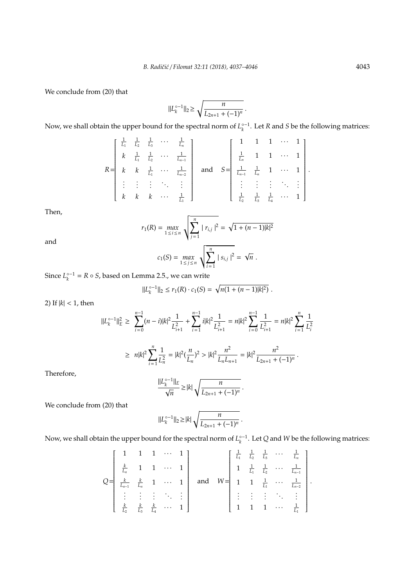We conclude from (20) that

$$
||L_k^{\circ -1}||_2 \ge \sqrt{\frac{n}{L_{2n+1} + (-1)^n}}.
$$

Now, we shall obtain the upper bound for the spectral norm of  $L_k^{\circ-1}$ . Let *R* and *S* be the following matrices:

$$
R = \begin{bmatrix} \frac{1}{L_1} & \frac{1}{L_2} & \frac{1}{L_3} & \cdots & \frac{1}{L_n} \\ k & \frac{1}{L_1} & \frac{1}{L_2} & \cdots & \frac{1}{L_{n-1}} \\ k & k & \frac{1}{L_1} & \cdots & \frac{1}{L_{n-2}} \\ \vdots & \vdots & \vdots & \ddots & \vdots \\ k & k & k & \cdots & \frac{1}{L_1} \end{bmatrix} \text{ and } S = \begin{bmatrix} 1 & 1 & 1 & \cdots & 1 \\ \frac{1}{L_n} & 1 & 1 & \cdots & 1 \\ \frac{1}{L_n} & \frac{1}{L_n} & 1 & \cdots & 1 \\ \vdots & \vdots & \vdots & \ddots & \vdots \\ \frac{1}{L_2} & \frac{1}{L_3} & \frac{1}{L_4} & \cdots & 1 \end{bmatrix}.
$$

Then,

$$
r_1(R) = \max_{1 \le i \le n} \sqrt{\sum_{j=1}^n |r_{i,j}|^2} = \sqrt{1 + (n-1)|k|^2}
$$

and

$$
c_1(S) = \max_{1 \le j \le n} \sqrt{\sum_{i=1}^n |s_{i,j}|^2} = \sqrt{n}.
$$

Since  $L_k^{\circ -1} = R \circ S$ , based on Lemma 2.5., we can write

$$
||L_k^{\circ-1}||_2 \le r_1(R) \cdot c_1(S) = \sqrt{n(1 + (n-1)|k|^2)}.
$$

2) If  $|k|$  < 1, then

$$
\begin{aligned} ||L_k^{\circ -1}||_E^2 &\geq \sum_{i=0}^{n-1} (n-i)|k|^2 \frac{1}{L_{i+1}^2} + \sum_{i=1}^{n-1} i|k|^2 \frac{1}{L_{i+1}^2} = n|k|^2 \sum_{i=0}^{n-1} \frac{1}{L_{i+1}^2} = n|k|^2 \sum_{i=1}^n \frac{1}{L_i^2} \\ &\geq \ n|k|^2 \sum_{i=1}^n \frac{1}{L_n^2} = |k|^2 (\frac{n}{L_n})^2 > |k|^2 \frac{n^2}{L_n L_{n+1}} = |k|^2 \frac{n^2}{L_{2n+1} + (-1)^n} \,. \end{aligned}
$$

Therefore,

$$
\frac{||L_k^{\circ-1}||_E}{\sqrt{n}} \ge |k| \sqrt{\frac{n}{L_{2n+1} + (-1)^n}}.
$$

We conclude from (20) that

$$
||L_k^{\circ-1}||_2 \ge |k| \sqrt{\frac{n}{L_{2n+1} + (-1)^n}}.
$$

Now, we shall obtain the upper bound for the spectral norm of  $L_k^{\circ-1}$ . Let *Q* and *W* be the following matrices:

$$
Q = \begin{bmatrix} 1 & 1 & 1 & \cdots & 1 \\ \frac{k}{L_n} & 1 & 1 & \cdots & 1 \\ \frac{k}{L_{n-1}} & \frac{k}{L_n} & 1 & \cdots & 1 \\ \vdots & \vdots & \vdots & \ddots & \vdots \\ \frac{k}{L_2} & \frac{k}{L_3} & \frac{k}{L_4} & \cdots & 1 \end{bmatrix} \text{ and } W = \begin{bmatrix} \frac{1}{L_1} & \frac{1}{L_2} & \frac{1}{L_3} & \cdots & \frac{1}{L_n} \\ 1 & \frac{1}{L_1} & \frac{1}{L_2} & \cdots & \frac{1}{L_{n-1}} \\ 1 & 1 & \frac{1}{L_1} & \cdots & \frac{1}{L_{n-2}} \\ \vdots & \vdots & \vdots & \ddots & \vdots \\ 1 & 1 & 1 & \cdots & \frac{1}{L_1} \end{bmatrix}
$$

.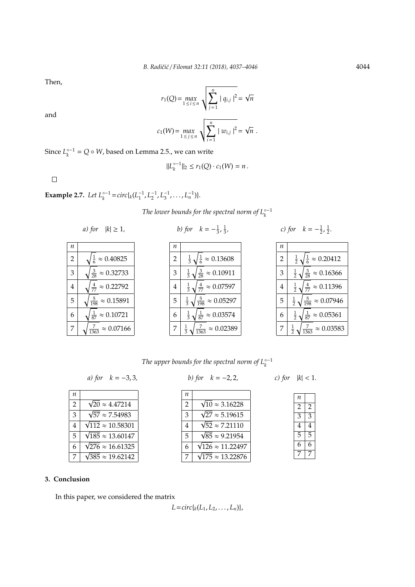Then,

and

$$
r_1(Q) = \max_{1 \le i \le n} \sqrt{\sum_{j=1}^n |q_{i,j}|^2} = \sqrt{n}
$$

$$
c_1(W) = \max_{1 \le j \le n} \sqrt{\sum_{i=1}^n |w_{i,j}|^2} = \sqrt{n}.
$$

Since  $L_k^{\circ -1} = Q \circ W$ , based on Lemma 2.5., we can write

$$
||L_k^{\circ -1}||_2 \le r_1(Q) \cdot c_1(W) = n.
$$

 $\Box$ 

**Example 2.7.** *Let*  $L_k^{\circ -1} = circ\{k(L_1^{-1}, L_2^{-1}, L_3^{-1}, \ldots, L_n^{-1})\}$ *.* 

*The lower bounds for the spectral norm of*  $L_k^{\circ -1}$ 

- 
- *a)* for  $|k| \ge 1$ , *b)* for  $k = -\frac{1}{3}, \frac{1}{3}$
- *, c)* for  $k = -\frac{1}{2}, \frac{1}{2}$ .

| n              |                                 | n              |                                                        |
|----------------|---------------------------------|----------------|--------------------------------------------------------|
| $\overline{2}$ | $\frac{1}{6} \approx 0.40825$   | $\overline{2}$ | $\sqrt{\frac{1}{6}} \approx 0.13608$<br>$\frac{1}{3}$  |
| 3              | $\frac{3}{28} \approx 0.32733$  | 3              | $\frac{1}{3}\sqrt{\frac{3}{28}} \approx 0.10911$       |
| $\overline{4}$ | $\frac{4}{77} \approx 0.22792$  | $\bf 4$        | $\frac{1}{3}\sqrt{\frac{4}{77}} \approx 0.07597$       |
| 5              | $\frac{5}{198} \approx 0.15891$ | 5              | $\frac{1}{3}\sqrt{\frac{5}{198}} \approx 0.05297$      |
| 6              | $\frac{1}{87} \approx 0.10721$  | 6              | $\sqrt{\frac{1}{87}} \approx 0.03574$<br>$\frac{1}{3}$ |
|                | $\approx 0.07166$<br>1363       | 7              | $\frac{7}{1363} \approx 0.02389$<br>$\frac{1}{3}$      |

| n              |                                                      |
|----------------|------------------------------------------------------|
| $\overline{2}$ | $\frac{1}{6} \approx 0.20412$<br>$rac{1}{2}$         |
| 3              | $\frac{3}{28} \approx 0.16366$<br>$\frac{1}{2}$      |
| 4              | $\frac{4}{77} \approx 0.11396$<br>$\frac{1}{2}$      |
| 5              | $\frac{5}{198} \approx 0.07946$<br>$\frac{1}{2}$     |
| 6              | $\frac{1}{87}$<br>$\frac{1}{2}$<br>$\approx 0.05361$ |
| 7              | $\frac{1}{2}$<br>$\approx 0.03583$                   |

*The upper bounds for the spectral norm of*  $L_k^{\circ -1}$ 

*a)* for  $k = -3, 3$ , *b)* for  $k = -2, 2$ , *c)* for  $|k| < 1$ .

| п              |                               |
|----------------|-------------------------------|
| $\overline{2}$ | $\sqrt{20} \approx 4.47214$   |
| 3              | $\sqrt{57} \approx 7.54983$   |
| 4              | $\sqrt{112} \approx 10.58301$ |
| 5              | $\sqrt{185} \approx 13.60147$ |
| 6              | $\sqrt{276} \approx 16.61325$ |
| 7              | $\sqrt{385} \approx 19.62142$ |

| b) for $k = -2, 2$ |  |
|--------------------|--|
|                    |  |

| n              |                               |
|----------------|-------------------------------|
| $\overline{2}$ | $\sqrt{10} \approx 3.16228$   |
| 3              | $\sqrt{27} \approx 5.19615$   |
| 4              | $\sqrt{52} \approx 7.21110$   |
| 5              | $\sqrt{85} \approx 9.21954$   |
| 6              | $\sqrt{126} \approx 11.22497$ |
| 7              | $\sqrt{175} \approx 13.22876$ |

| n              |                |
|----------------|----------------|
| $\overline{c}$ | $\overline{2}$ |
| 3              | 3              |
| 4              | 4              |
| 5              | 5              |
| 6              | 6              |
| 7              | 7              |

### **3. Conclusion**

In this paper, we considered the matrix

 $L = circ{k(L_1, L_2, ..., L_n)},$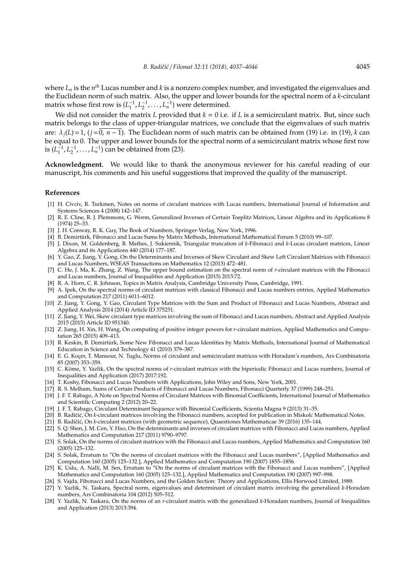where  $L_n$  is the  $n^{th}$  Lucas number and  $k$  is a nonzero complex number, and investigated the eigenvalues and the Euclidean norm of such matrix. Also, the upper and lower bounds for the spectral norm of a *k*-circulant matrix whose first row is  $(L_1^{-1}, L_2^{-1}, \ldots, L_n^{-1})$  were determined.

We did not consider the matrix *L* provided that  $k = 0$  i.e. if *L* is a semicirculant matrix. But, since such matrix belongs to the class of upper-triangular matrices, we conclude that the eigenvalues of such matrix are:  $\lambda_i(L) = 1$ , ( $i = 0, n - 1$ ). The Euclidean norm of such matrix can be obtained from (19) i.e. in (19), *k* can be equal to 0. The upper and lower bounds for the spectral norm of a semicirculant matrix whose first row is  $(L_1^{-1}, L_2^{-1}, \ldots, L_n^{-1})$  can be obtained from (23).

**Acknowledgment.** We would like to thank the anonymous reviewer for his careful reading of our manuscript, his comments and his useful suggestions that improved the quality of the manuscript.

#### **References**

- [1] H. Civciv, R. Turkmen, Notes on norms of circulant matrices with Lucas numbers, International Journal of Information and Systems Sciences 4 (2008) 142–147.
- [2] R. E. Cline, R. J. Plemmons, G. Worm, Generalized Inverses of Certain Toeplitz Matrices, Linear Algebra and its Applications 8 (1974) 25–33.
- [3] J. H. Conway, R. K. Guy, The Book of Numbers, Springer-Verlag, New York, 1996.
- [4] B. Demirturk, Fibonacci and Lucas Sums by Matrix Methods, International Mathematical Forum 5 (2010) 99–107. ¨
- [5] J. Dixon, M. Goldenberg, B. Mathes, J. Sukiennik, Triangular truncation of *k*-Fibonacci and *k*-Lucas circulant matrices, Linear Algebra and its Applications 440 (2014) 177–187.
- [6] Y. Gao, Z. Jiang, Y. Gong, On the Determinants and Inverses of Skew Circulant and Skew Left Circulant Matrices with Fibonacci and Lucas Numbers, WSEAS Transactions on Mathematics 12 (2013) 472–481.
- [7] C. He, J. Ma, K. Zhang, Z. Wang, The upper bound estimation on the spectral norm of *r*-circulant matrices with the Fibonacci and Lucas numbers, Journal of Inequalities and Application (2015) 2015:72.
- [8] R. A. Horn, C. R. Johnson, Topics in Matrix Analysis, Cambridge University Press, Cambridge, 1991.
- [9] A. Ipek, On the spectral norms of circulant matrices with classical Fibonacci and Lucas numbers entries, Applied Mathematics and Computation 217 (2011) 6011–6012.
- [10] Z. Jiang, Y. Gong, Y. Gao, Circulant Type Matrices with the Sum and Product of Fibonacci and Lucas Numbers, Abstract and Applied Analysis 2014 (2014) Article ID 375251.
- [11] Z. Jiang, Y. Wei, Skew circulant type matrices involving the sum of Fibonacci and Lucas numbers, Abstract and Applied Analysis 2015 (2015) Article ID 951340.
- [12] Z. Jiang, H. Xin, H. Wang, On computing of positive integer powers for *r*-circulant matrices, Applied Mathematics and Computation 265 (2015) 409–413.
- [13] R. Keskin, B. Demirtürk, Some New Fibonacci and Lucas Identities by Matrix Methods, International Journal of Mathematical Education in Science and Technology 41 (2010) 379–387.
- [14] E. G. Koçer, T. Mansour, N. Tuglu, Norms of circulant and semicirculant matrices with Horadam's numbers, Ars Combinatoria 85 (2007) 353–359.
- [15] C. Köme, Y. Yazlik, On the spectral norms of r-circulant matrices with the biperiodic Fibonacci and Lucas numbers, Journal of Inequalities and Application (2017) 2017:192.
- [16] T. Koshy, Fibonacci and Lucas Numbers with Applications, John Wiley and Sons, New York, 2001.
- [17] R. S. Melham, Sums of Certain Products of Fibonacci and Lucas Numbers, Fibonacci Quarterly 37 (1999) 248–251.
- [18] J. F. T. Rabago, A Note on Spectral Norms of Circulant Matrices with Binomial Coefficients, International Journal of Mathematics and Scientific Computing 2 (2012) 20–22.
- [19] J. F. T. Rabago, Circulant Determinant Sequence with Binomial Coefficients, Scientia Magna 9 (2013) 31–35.
- [20] B. Radičić, On k-circulant matrices involving the Fibonacci numbers, accepted for publication in Miskolc Mathematical Notes.
- [21] B. Radičić, On *k*-circulant matrices (with geometric sequence), Quaestiones Mathematicae 39 (2016) 135-144.
- [22] S. Q. Shen, J. M. Cen, Y. Hao, On the determinants and inverses of circulant matrices with Fibonacci and Lucas numbers, Applied Mathematics and Computation 217 (2011) 9790–9797.
- [23] S. Solak, On the norms of circulant matrices with the Fibonacci and Lucas numbers, Applied Mathematics and Computation 160 (2005) 125–132.
- [24] S. Solak, Erratum to "On the norms of circulant matrices with the Fibonacci and Lucas numbers", [Applied Mathematics and Computation 160 (2005) 125–132.], Applied Mathematics and Computation 190 (2007) 1855–1856.
- [25] K. Uslu, A. Nalli, M. Sen, Erratum to "On the norms of circulant matrices with the Fibonacci and Lucas numbers", [Applied Mathematics and Computation 160 (2005) 125–132.], Applied Mathematics and Computation 190 (2007) 997–998.
- [26] S. Vajda, Fibonacci and Lucas Numbers, and the Golden Section: Theory and Applications, Ellis Horwood Limited, 1989.
- [27] Y. Yazlik, N. Taskara, Spectral norm, eigenvalues and determinant of circulant matrix involving the generalized *k*-Horadam numbers, Ars Combinatoria 104 (2012) 505–512.
- [28] Y. Yazlik, N. Taskara, On the norms of an *r*-circulant matrix with the generalized *k*-Horadam numbers, Journal of Inequalities and Application (2013) 2013:394.